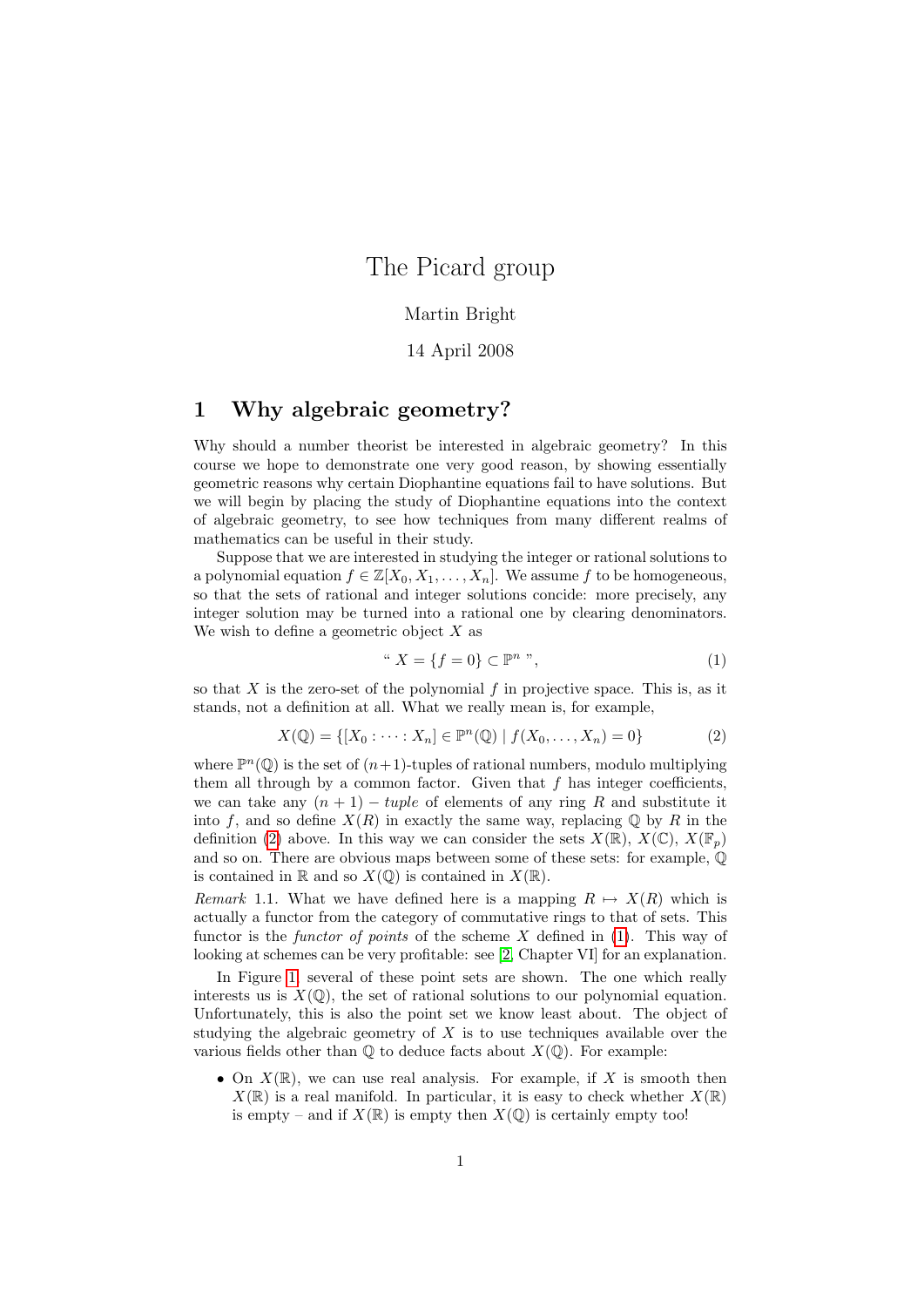## The Picard group

#### Martin Bright

#### 14 April 2008

### 1 Why algebraic geometry?

Why should a number theorist be interested in algebraic geometry? In this course we hope to demonstrate one very good reason, by showing essentially geometric reasons why certain Diophantine equations fail to have solutions. But we will begin by placing the study of Diophantine equations into the context of algebraic geometry, to see how techniques from many different realms of mathematics can be useful in their study.

Suppose that we are interested in studying the integer or rational solutions to a polynomial equation  $f \in \mathbb{Z}[X_0, X_1, \ldots, X_n]$ . We assume f to be homogeneous, so that the sets of rational and integer solutions concide: more precisely, any integer solution may be turned into a rational one by clearing denominators. We wish to define a geometric object  $X$  as

<span id="page-0-1"></span>
$$
" X = \{ f = 0 \} \subset \mathbb{P}^n " , \tag{1}
$$

so that  $X$  is the zero-set of the polynomial  $f$  in projective space. This is, as it stands, not a definition at all. What we really mean is, for example,

<span id="page-0-0"></span>
$$
X(\mathbb{Q}) = \{ [X_0 : \dots : X_n] \in \mathbb{P}^n(\mathbb{Q}) \mid f(X_0, \dots, X_n) = 0 \}
$$
 (2)

where  $\mathbb{P}^n(\mathbb{Q})$  is the set of  $(n+1)$ -tuples of rational numbers, modulo multiplying them all through by a common factor. Given that  $f$  has integer coefficients, we can take any  $(n + 1) - tuple$  of elements of any ring R and substitute it into f, and so define  $X(R)$  in exactly the same way, replacing  $\mathbb Q$  by R in the definition [\(2\)](#page-0-0) above. In this way we can consider the sets  $X(\mathbb{R})$ ,  $X(\mathbb{C})$ ,  $X(\mathbb{F}_n)$ and so on. There are obvious maps between some of these sets: for example, Q is contained in  $\mathbb R$  and so  $X(\mathbb{Q})$  is contained in  $X(\mathbb{R})$ .

Remark 1.1. What we have defined here is a mapping  $R \mapsto X(R)$  which is actually a functor from the category of commutative rings to that of sets. This functor is the *functor of points* of the scheme  $X$  defined in [\(1\)](#page-0-1). This way of looking at schemes can be very profitable: see [\[2,](#page-7-0) Chapter VI] for an explanation.

In Figure [1,](#page-1-0) several of these point sets are shown. The one which really interests us is  $X(\mathbb{Q})$ , the set of rational solutions to our polynomial equation. Unfortunately, this is also the point set we know least about. The object of studying the algebraic geometry of  $X$  is to use techniques available over the various fields other than  $\mathbb Q$  to deduce facts about  $X(\mathbb Q)$ . For example:

• On  $X(\mathbb{R})$ , we can use real analysis. For example, if X is smooth then  $X(\mathbb{R})$  is a real manifold. In particular, it is easy to check whether  $X(\mathbb{R})$ is empty – and if  $X(\mathbb{R})$  is empty then  $X(\mathbb{Q})$  is certainly empty too!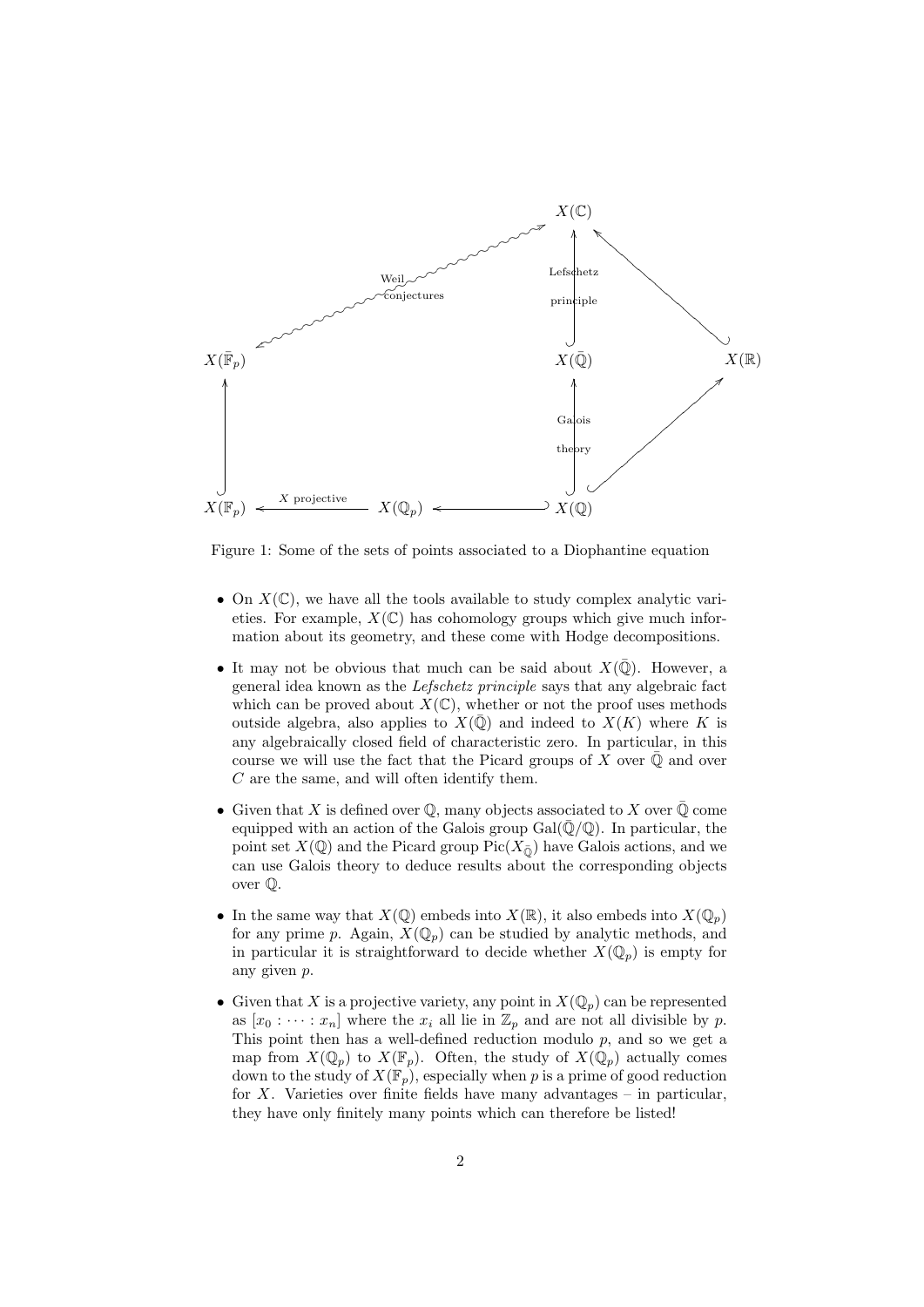

<span id="page-1-0"></span>Figure 1: Some of the sets of points associated to a Diophantine equation

- On  $X(\mathbb{C})$ , we have all the tools available to study complex analytic varieties. For example,  $X(\mathbb{C})$  has cohomology groups which give much information about its geometry, and these come with Hodge decompositions.
- It may not be obvious that much can be said about  $X(\overline{\mathbb{Q}})$ . However, a general idea known as the Lefschetz principle says that any algebraic fact which can be proved about  $X(\mathbb{C})$ , whether or not the proof uses methods outside algebra, also applies to  $X(\overline{\mathbb{Q}})$  and indeed to  $X(K)$  where K is any algebraically closed field of characteristic zero. In particular, in this course we will use the fact that the Picard groups of X over  $\mathbb Q$  and over C are the same, and will often identify them.
- Given that X is defined over  $\mathbb Q$ , many objects associated to X over  $\overline{\mathbb Q}$  come equipped with an action of the Galois group  $Gal(\bar{Q}/\mathbb{Q})$ . In particular, the point set  $X(\mathbb{Q})$  and the Picard group Pic( $X_{\overline{0}}$ ) have Galois actions, and we can use Galois theory to deduce results about the corresponding objects over Q.
- In the same way that  $X(\mathbb{Q})$  embeds into  $X(\mathbb{R})$ , it also embeds into  $X(\mathbb{Q}_p)$ for any prime p. Again,  $X(\mathbb{Q}_p)$  can be studied by analytic methods, and in particular it is straightforward to decide whether  $X(\mathbb{Q}_p)$  is empty for any given p.
- Given that X is a projective variety, any point in  $X(\mathbb{Q}_p)$  can be represented as  $[x_0 : \cdots : x_n]$  where the  $x_i$  all lie in  $\mathbb{Z}_p$  and are not all divisible by p. This point then has a well-defined reduction modulo  $p$ , and so we get a map from  $X(\mathbb{Q}_p)$  to  $X(\mathbb{F}_p)$ . Often, the study of  $X(\mathbb{Q}_p)$  actually comes down to the study of  $X(\mathbb{F}_p)$ , especially when p is a prime of good reduction for  $X$ . Varieties over finite fields have many advantages – in particular, they have only finitely many points which can therefore be listed!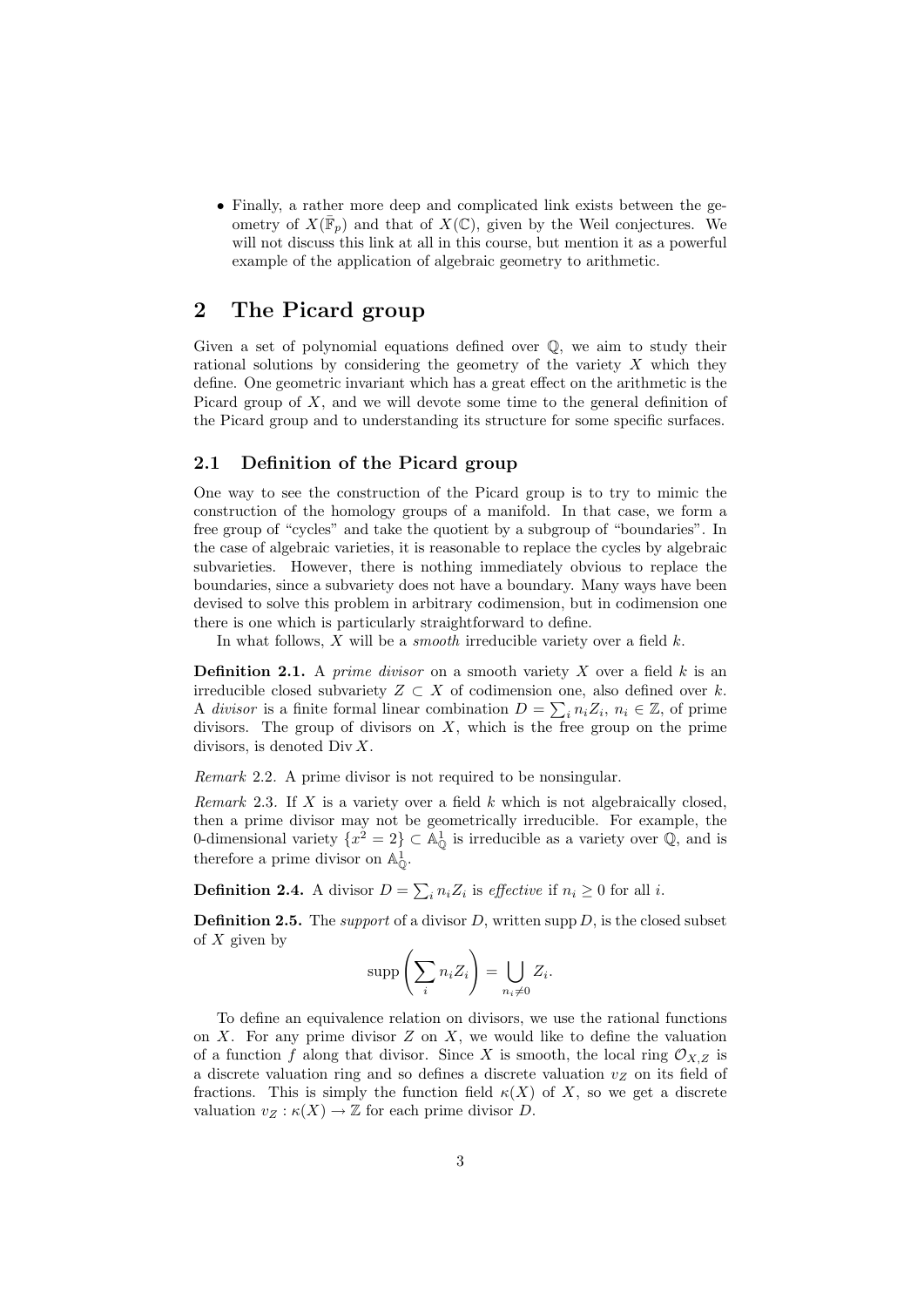• Finally, a rather more deep and complicated link exists between the geometry of  $X(\bar{\mathbb{F}}_p)$  and that of  $X(\mathbb{C})$ , given by the Weil conjectures. We will not discuss this link at all in this course, but mention it as a powerful example of the application of algebraic geometry to arithmetic.

## 2 The Picard group

Given a set of polynomial equations defined over Q, we aim to study their rational solutions by considering the geometry of the variety  $X$  which they define. One geometric invariant which has a great effect on the arithmetic is the Picard group of  $X$ , and we will devote some time to the general definition of the Picard group and to understanding its structure for some specific surfaces.

#### 2.1 Definition of the Picard group

One way to see the construction of the Picard group is to try to mimic the construction of the homology groups of a manifold. In that case, we form a free group of "cycles" and take the quotient by a subgroup of "boundaries". In the case of algebraic varieties, it is reasonable to replace the cycles by algebraic subvarieties. However, there is nothing immediately obvious to replace the boundaries, since a subvariety does not have a boundary. Many ways have been devised to solve this problem in arbitrary codimension, but in codimension one there is one which is particularly straightforward to define.

In what follows,  $X$  will be a *smooth* irreducible variety over a field  $k$ .

**Definition 2.1.** A *prime divisor* on a smooth variety  $X$  over a field  $k$  is an irreducible closed subvariety  $Z \subset X$  of codimension one, also defined over k. A divisor is a finite formal linear combination  $D = \sum_i n_i Z_i$ ,  $n_i \in \mathbb{Z}$ , of prime divisors. The group of divisors on  $X$ , which is the free group on the prime divisors, is denoted  $\text{Div } X$ .

Remark 2.2. A prime divisor is not required to be nonsingular.

Remark 2.3. If X is a variety over a field  $k$  which is not algebraically closed. then a prime divisor may not be geometrically irreducible. For example, the 0-dimensional variety  $\{x^2 = 2\} \subset \mathbb{A}_{\mathbb{O}}^1$  is irreducible as a variety over  $\mathbb{Q}$ , and is therefore a prime divisor on  $\mathbb{A}^1_{\mathbb{O}}$ .

**Definition 2.4.** A divisor  $D = \sum_i n_i Z_i$  is *effective* if  $n_i \geq 0$  for all *i*.

**Definition 2.5.** The *support* of a divisor  $D$ , written supp  $D$ , is the closed subset of  $X$  given by

$$
\operatorname{supp}\left(\sum_{i} n_{i} Z_{i}\right) = \bigcup_{n_{i} \neq 0} Z_{i}.
$$

To define an equivalence relation on divisors, we use the rational functions on  $X$ . For any prime divisor  $Z$  on  $X$ , we would like to define the valuation of a function f along that divisor. Since X is smooth, the local ring  $\mathcal{O}_{X,Z}$  is a discrete valuation ring and so defines a discrete valuation  $v_Z$  on its field of fractions. This is simply the function field  $\kappa(X)$  of X, so we get a discrete valuation  $v_Z : \kappa(X) \to \mathbb{Z}$  for each prime divisor D.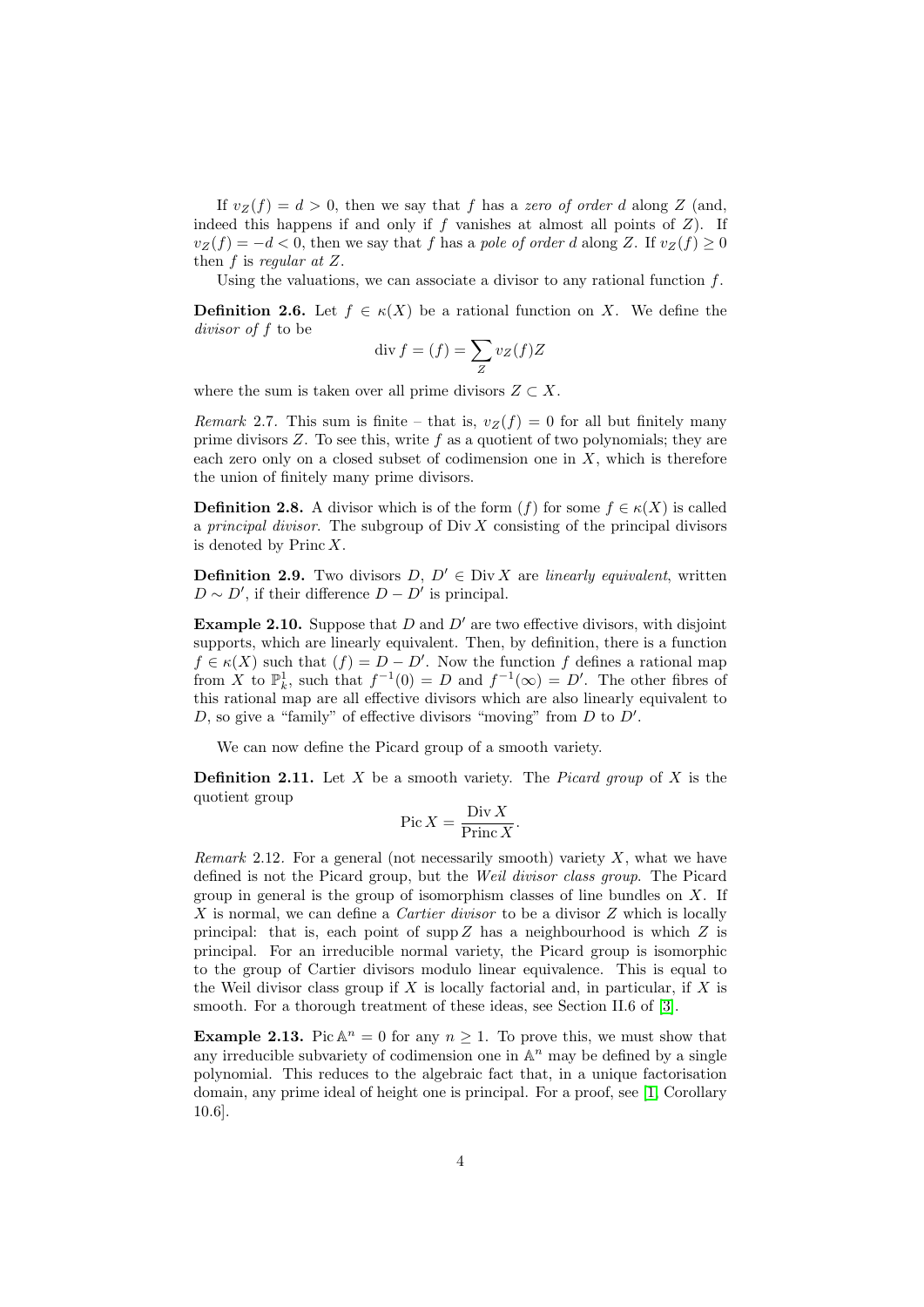If  $v_Z(f) = d > 0$ , then we say that f has a zero of order d along Z (and, indeed this happens if and only if  $f$  vanishes at almost all points of  $Z$ ). If  $v_Z(f) = -d < 0$ , then we say that f has a pole of order d along Z. If  $v_Z(f) \ge 0$ then  $f$  is regular at  $Z$ .

Using the valuations, we can associate a divisor to any rational function  $f$ .

**Definition 2.6.** Let  $f \in \kappa(X)$  be a rational function on X. We define the divisor of f to be

$$
\operatorname{div} f = (f) = \sum_{Z} v_Z(f) Z
$$

where the sum is taken over all prime divisors  $Z \subset X$ .

*Remark* 2.7. This sum is finite – that is,  $v_Z(f) = 0$  for all but finitely many prime divisors  $Z$ . To see this, write  $f$  as a quotient of two polynomials; they are each zero only on a closed subset of codimension one in  $X$ , which is therefore the union of finitely many prime divisors.

**Definition 2.8.** A divisor which is of the form  $(f)$  for some  $f \in \kappa(X)$  is called a *principal divisor*. The subgroup of  $\text{Div } X$  consisting of the principal divisors is denoted by  $\text{Princ } X$ .

**Definition 2.9.** Two divisors  $D, D' \in Div X$  are *linearly equivalent*, written  $D \sim D'$ , if their difference  $D - D'$  is principal.

**Example 2.10.** Suppose that  $D$  and  $D'$  are two effective divisors, with disjoint supports, which are linearly equivalent. Then, by definition, there is a function  $f \in \kappa(X)$  such that  $(f) = D - D'$ . Now the function f defines a rational map from X to  $\mathbb{P}_k^1$ , such that  $f^{-1}(0) = D$  and  $f^{-1}(\infty) = D'$ . The other fibres of this rational map are all effective divisors which are also linearly equivalent to  $D$ , so give a "family" of effective divisors "moving" from  $D$  to  $D'$ .

We can now define the Picard group of a smooth variety.

**Definition 2.11.** Let X be a smooth variety. The *Picard group* of X is the quotient group

$$
\operatorname{Pic} X = \frac{\operatorname{Div} X}{\operatorname{Princ} X}.
$$

*Remark* 2.12. For a general (not necessarily smooth) variety  $X$ , what we have defined is not the Picard group, but the Weil divisor class group. The Picard group in general is the group of isomorphism classes of line bundles on  $X$ . If X is normal, we can define a *Cartier divisor* to be a divisor  $Z$  which is locally principal: that is, each point of supp  $Z$  has a neighbourhood is which  $Z$  is principal. For an irreducible normal variety, the Picard group is isomorphic to the group of Cartier divisors modulo linear equivalence. This is equal to the Weil divisor class group if  $X$  is locally factorial and, in particular, if  $X$  is smooth. For a thorough treatment of these ideas, see Section II.6 of [\[3\]](#page-7-1).

**Example 2.13.** Pic  $\mathbb{A}^n = 0$  for any  $n \geq 1$ . To prove this, we must show that any irreducible subvariety of codimension one in  $\mathbb{A}^n$  may be defined by a single polynomial. This reduces to the algebraic fact that, in a unique factorisation domain, any prime ideal of height one is principal. For a proof, see [\[1,](#page-7-2) Corollary 10.6].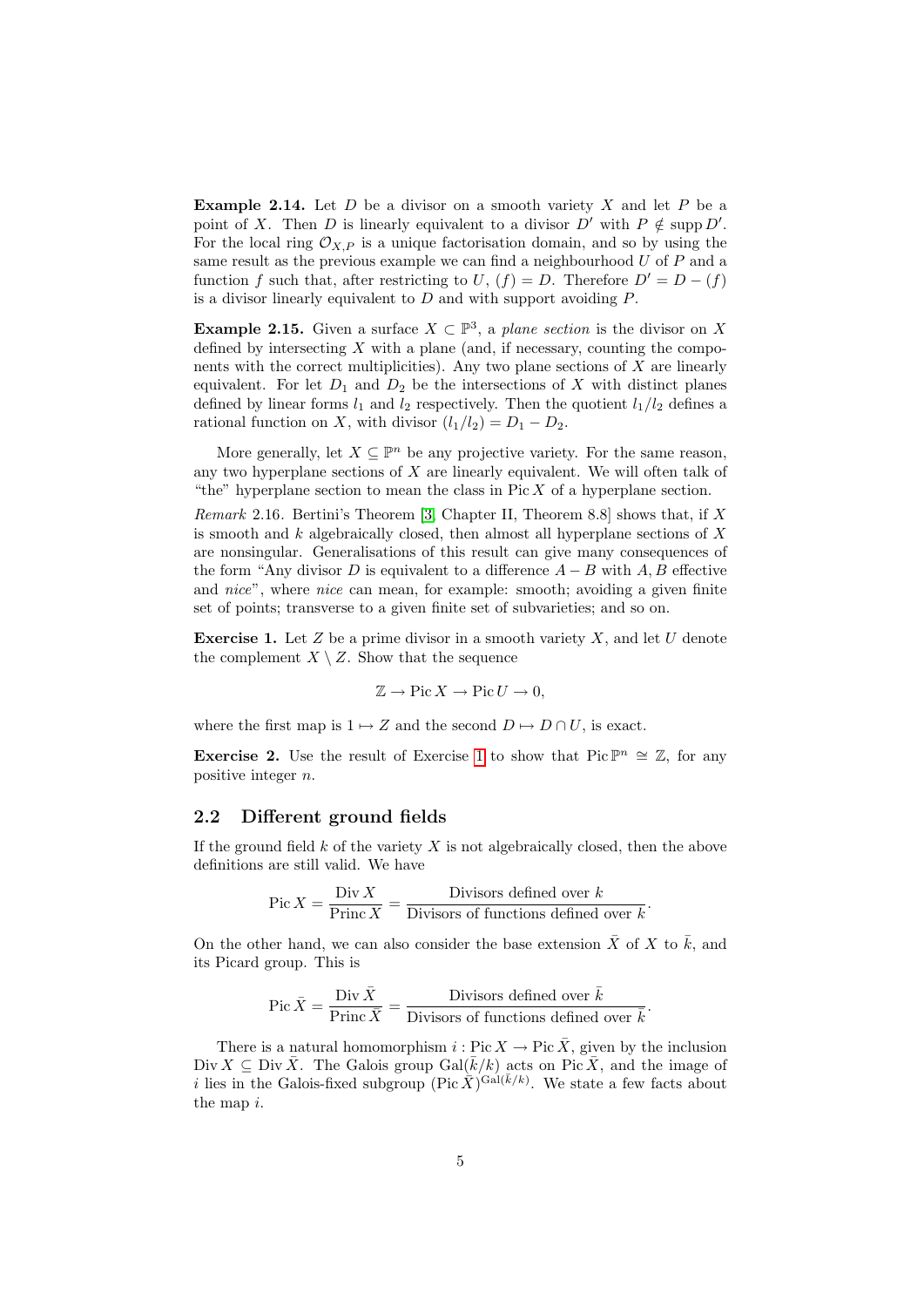**Example 2.14.** Let  $D$  be a divisor on a smooth variety  $X$  and let  $P$  be a point of X. Then D is linearly equivalent to a divisor  $D'$  with  $P \notin \text{supp } D'$ . For the local ring  $\mathcal{O}_{X,P}$  is a unique factorisation domain, and so by using the same result as the previous example we can find a neighbourhood  $U$  of  $P$  and a function f such that, after restricting to U,  $(f) = D$ . Therefore  $D' = D - (f)$ is a divisor linearly equivalent to  $D$  and with support avoiding  $P$ .

**Example 2.15.** Given a surface  $X \subset \mathbb{P}^3$ , a plane section is the divisor on X defined by intersecting  $X$  with a plane (and, if necessary, counting the components with the correct multiplicities). Any two plane sections of  $X$  are linearly equivalent. For let  $D_1$  and  $D_2$  be the intersections of X with distinct planes defined by linear forms  $l_1$  and  $l_2$  respectively. Then the quotient  $l_1/l_2$  defines a rational function on X, with divisor  $(l_1/l_2) = D_1 - D_2$ .

More generally, let  $X \subseteq \mathbb{P}^n$  be any projective variety. For the same reason, any two hyperplane sections of  $X$  are linearly equivalent. We will often talk of "the" hyperplane section to mean the class in Pic  $X$  of a hyperplane section.

*Remark* 2.16. Bertini's Theorem [\[3,](#page-7-1) Chapter II, Theorem 8.8] shows that, if X is smooth and  $k$  algebraically closed, then almost all hyperplane sections of  $X$ are nonsingular. Generalisations of this result can give many consequences of the form "Any divisor D is equivalent to a difference  $A - B$  with A, B effective and nice", where nice can mean, for example: smooth; avoiding a given finite set of points; transverse to a given finite set of subvarieties; and so on.

<span id="page-4-0"></span>**Exercise 1.** Let  $Z$  be a prime divisor in a smooth variety  $X$ , and let  $U$  denote the complement  $X \setminus Z$ . Show that the sequence

$$
\mathbb{Z} \to \text{Pic}\, X \to \text{Pic}\, U \to 0,
$$

where the first map is  $1 \mapsto Z$  and the second  $D \mapsto D \cap U$ , is exact.

**Exercise 2.** Use the result of Exercise [1](#page-4-0) to show that Pic  $\mathbb{P}^n \cong \mathbb{Z}$ , for any positive integer n.

#### 2.2 Different ground fields

If the ground field  $k$  of the variety  $X$  is not algebraically closed, then the above definitions are still valid. We have

$$
Pic X = \frac{Div X}{Princ X} = \frac{Divisors \ defined \ over \ k}{Divisors \ of \ functions \ defined \ over \ k}.
$$

On the other hand, we can also consider the base extension  $\bar{X}$  of X to  $\bar{k}$ , and its Picard group. This is

$$
\operatorname{Pic} \bar{X} = \frac{\operatorname{Div} \bar{X}}{\operatorname{Princ} \bar{X}} = \frac{\operatorname{Divisors} \text{ defined over } \bar{k}}{\operatorname{Divisors} \text{ of functions defined over } \bar{k}}.
$$

There is a natural homomorphism  $i : Pic X \to Pic \overline{X}$ , given by the inclusion Div  $X \subseteq \text{Div }\bar{X}$ . The Galois group  $\text{Gal}(\bar{k}/k)$  acts on Pic  $\bar{X}$ , and the image of i lies in the Galois-fixed subgroup (Pic  $\bar{X}$ )<sup>Gal(k/k)</sup>. We state a few facts about the map i.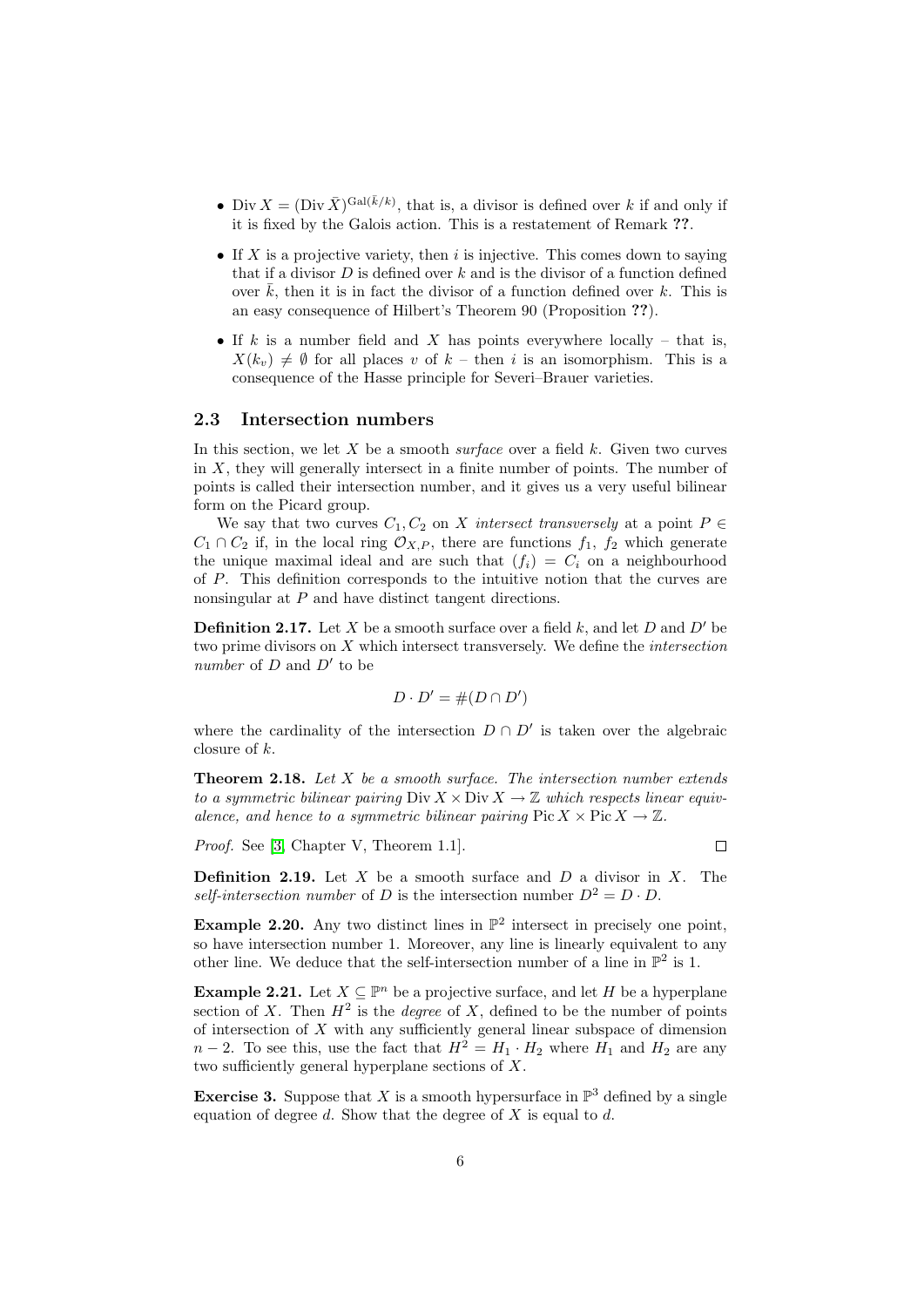- Div  $X = (\text{Div }\bar{X})^{\text{Gal}(\bar{k}/k)}$ , that is, a divisor is defined over k if and only if it is fixed by the Galois action. This is a restatement of Remark ??.
- If X is a projective variety, then  $i$  is injective. This comes down to saying that if a divisor  $D$  is defined over  $k$  and is the divisor of a function defined over  $k$ , then it is in fact the divisor of a function defined over  $k$ . This is an easy consequence of Hilbert's Theorem 90 (Proposition ??).
- If k is a number field and X has points everywhere locally that is,  $X(k_v) \neq \emptyset$  for all places v of  $k$  – then i is an isomorphism. This is a consequence of the Hasse principle for Severi–Brauer varieties.

#### 2.3 Intersection numbers

In this section, we let  $X$  be a smooth surface over a field  $k$ . Given two curves in X, they will generally intersect in a finite number of points. The number of points is called their intersection number, and it gives us a very useful bilinear form on the Picard group.

We say that two curves  $C_1, C_2$  on X intersect transversely at a point  $P \in$  $C_1 \cap C_2$  if, in the local ring  $\mathcal{O}_{X,P}$ , there are functions  $f_1, f_2$  which generate the unique maximal ideal and are such that  $(f_i) = C_i$  on a neighbourhood of P. This definition corresponds to the intuitive notion that the curves are nonsingular at P and have distinct tangent directions.

**Definition 2.17.** Let X be a smooth surface over a field k, and let D and D' be two prime divisors on X which intersect transversely. We define the intersection number of  $D$  and  $D'$  to be

$$
D \cdot D' = \#(D \cap D')
$$

where the cardinality of the intersection  $D \cap D'$  is taken over the algebraic closure of k.

**Theorem 2.18.** Let  $X$  be a smooth surface. The intersection number extends to a symmetric bilinear pairing  $\text{Div } X \times \text{Div } X \to \mathbb{Z}$  which respects linear equivalence, and hence to a symmetric bilinear pairing  $Pic X \times Pic X \rightarrow \mathbb{Z}$ .

Proof. See [\[3,](#page-7-1) Chapter V, Theorem 1.1].

 $\Box$ 

**Definition 2.19.** Let  $X$  be a smooth surface and  $D$  a divisor in  $X$ . The self-intersection number of D is the intersection number  $D^2 = D \cdot D$ .

**Example 2.20.** Any two distinct lines in  $\mathbb{P}^2$  intersect in precisely one point, so have intersection number 1. Moreover, any line is linearly equivalent to any other line. We deduce that the self-intersection number of a line in  $\mathbb{P}^2$  is 1.

**Example 2.21.** Let  $X \subseteq \mathbb{P}^n$  be a projective surface, and let H be a hyperplane section of X. Then  $H^2$  is the *degree* of X, defined to be the number of points of intersection of  $X$  with any sufficiently general linear subspace of dimension  $n-2$ . To see this, use the fact that  $H^2 = H_1 \cdot H_2$  where  $H_1$  and  $H_2$  are any two sufficiently general hyperplane sections of X.

**Exercise 3.** Suppose that X is a smooth hypersurface in  $\mathbb{P}^3$  defined by a single equation of degree d. Show that the degree of X is equal to d.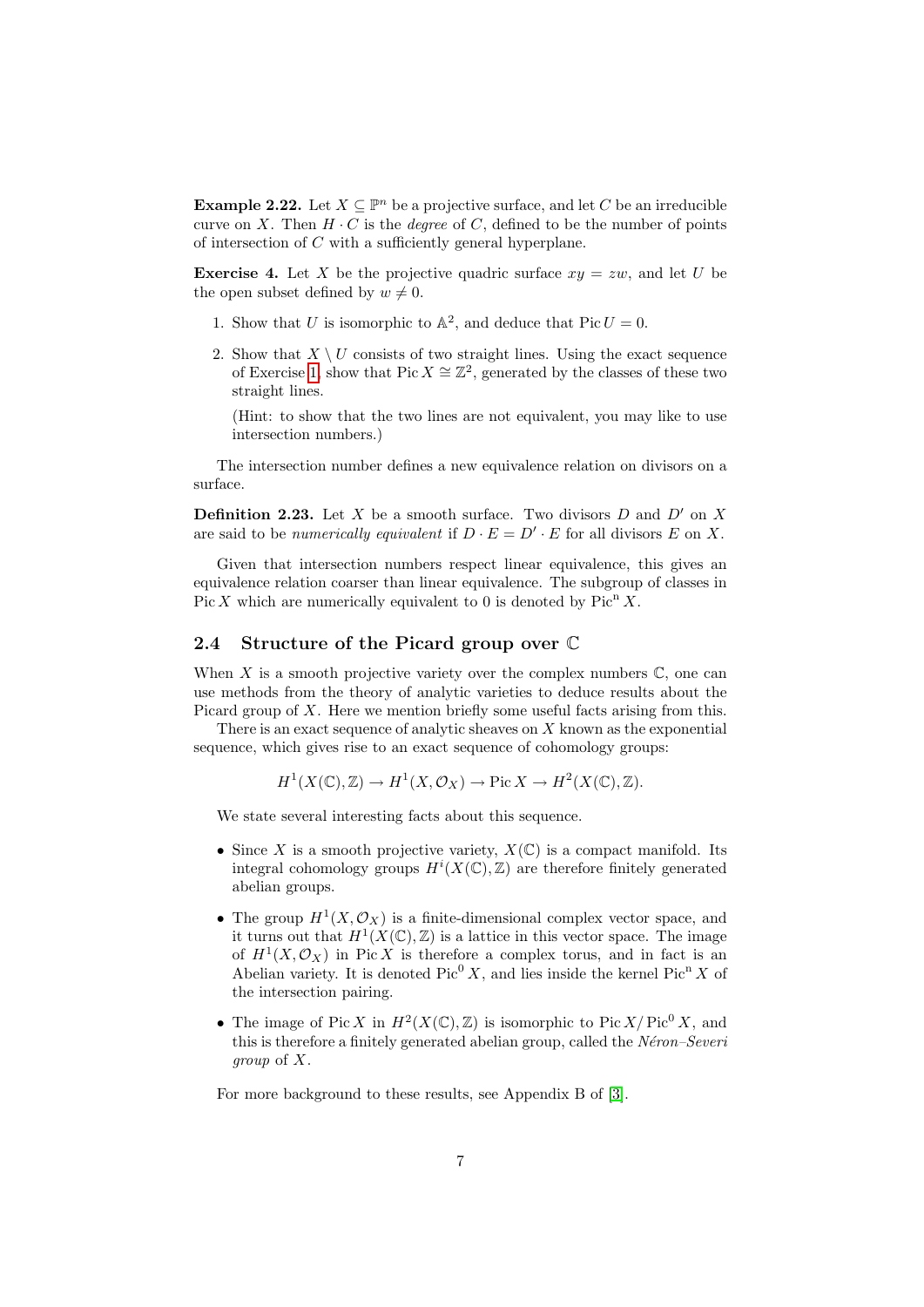**Example 2.22.** Let  $X \subseteq \mathbb{P}^n$  be a projective surface, and let C be an irreducible curve on X. Then  $H \cdot C$  is the *degree* of C, defined to be the number of points of intersection of C with a sufficiently general hyperplane.

**Exercise 4.** Let X be the projective quadric surface  $xy = zw$ , and let U be the open subset defined by  $w \neq 0$ .

- 1. Show that U is isomorphic to  $\mathbb{A}^2$ , and deduce that Pic  $U = 0$ .
- 2. Show that  $X \setminus U$  consists of two straight lines. Using the exact sequence of Exercise [1,](#page-4-0) show that Pic  $X \cong \mathbb{Z}^2$ , generated by the classes of these two straight lines.

(Hint: to show that the two lines are not equivalent, you may like to use intersection numbers.)

The intersection number defines a new equivalence relation on divisors on a surface.

**Definition 2.23.** Let X be a smooth surface. Two divisors  $D$  and  $D'$  on X are said to be *numerically equivalent* if  $D \cdot E = D' \cdot E$  for all divisors E on X.

Given that intersection numbers respect linear equivalence, this gives an equivalence relation coarser than linear equivalence. The subgroup of classes in Pic X which are numerically equivalent to 0 is denoted by  $Pic<sup>n</sup> X$ .

#### 2.4 Structure of the Picard group over C

When X is a smooth projective variety over the complex numbers  $\mathbb{C}$ , one can use methods from the theory of analytic varieties to deduce results about the Picard group of  $X$ . Here we mention briefly some useful facts arising from this.

There is an exact sequence of analytic sheaves on  $X$  known as the exponential sequence, which gives rise to an exact sequence of cohomology groups:

 $H^1(X(\mathbb{C}), \mathbb{Z}) \to H^1(X, \mathcal{O}_X) \to \text{Pic } X \to H^2(X(\mathbb{C}), \mathbb{Z}).$ 

We state several interesting facts about this sequence.

- Since X is a smooth projective variety,  $X(\mathbb{C})$  is a compact manifold. Its integral cohomology groups  $H^{i}(X(\mathbb{C}), \mathbb{Z})$  are therefore finitely generated abelian groups.
- The group  $H^1(X, \mathcal{O}_X)$  is a finite-dimensional complex vector space, and it turns out that  $H^1(X(\mathbb{C}), \mathbb{Z})$  is a lattice in this vector space. The image of  $H^1(X, \mathcal{O}_X)$  in Pic X is therefore a complex torus, and in fact is an Abelian variety. It is denoted  $Pic^0 X$ , and lies inside the kernel Pic<sup>n</sup> X of the intersection pairing.
- The image of Pic X in  $H^2(X(\mathbb{C}), \mathbb{Z})$  is isomorphic to Pic  $X/Pic^0 X$ , and this is therefore a finitely generated abelian group, called the  $Néron-Severi$ group of X.

For more background to these results, see Appendix B of [\[3\]](#page-7-1).